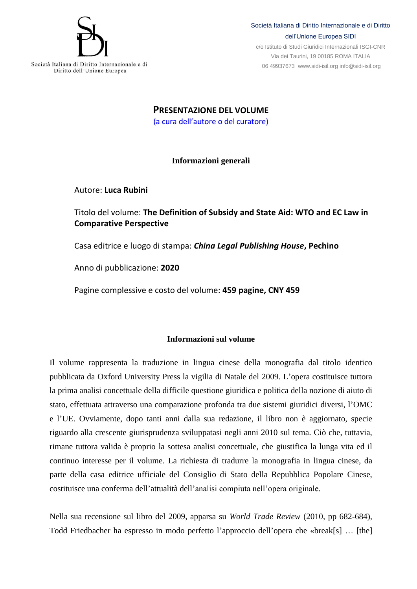

c/o Istituto di Studi Giuridici Internazionali ISGI-CNR Via dei Taurini, 19 00185 ROMA ITALIA 06 49937673 [www.sidi-isil.org](http://www.sidi-isil.org/) [info@sidi-isil.org](mailto:info@sidi-isil.org)

**PRESENTAZIONE DEL VOLUME** (a cura dell'autore o del curatore)

## **Informazioni generali**

Autore: **Luca Rubini**

## Titolo del volume: **The Definition of Subsidy and State Aid: WTO and EC Law in Comparative Perspective**

Casa editrice e luogo di stampa: *China Legal Publishing House***, Pechino**

Anno di pubblicazione: **2020**

Pagine complessive e costo del volume: **459 pagine, CNY 459**

## **Informazioni sul volume**

Il volume rappresenta la traduzione in lingua cinese della monografia dal titolo identico pubblicata da Oxford University Press la vigilia di Natale del 2009. L'opera costituisce tuttora la prima analisi concettuale della difficile questione giuridica e politica della nozione di aiuto di stato, effettuata attraverso una comparazione profonda tra due sistemi giuridici diversi, l'OMC e l'UE. Ovviamente, dopo tanti anni dalla sua redazione, il libro non è aggiornato, specie riguardo alla crescente giurisprudenza sviluppatasi negli anni 2010 sul tema. Ciò che, tuttavia, rimane tuttora valida è proprio la sottesa analisi concettuale, che giustifica la lunga vita ed il continuo interesse per il volume. La richiesta di tradurre la monografia in lingua cinese, da parte della casa editrice ufficiale del Consiglio di Stato della Repubblica Popolare Cinese, costituisce una conferma dell'attualità dell'analisi compiuta nell'opera originale.

Nella sua recensione sul libro del 2009, apparsa su *World Trade Review* (2010, pp 682-684), Todd Friedbacher ha espresso in modo perfetto l'approccio dell'opera che «break[s] … [the]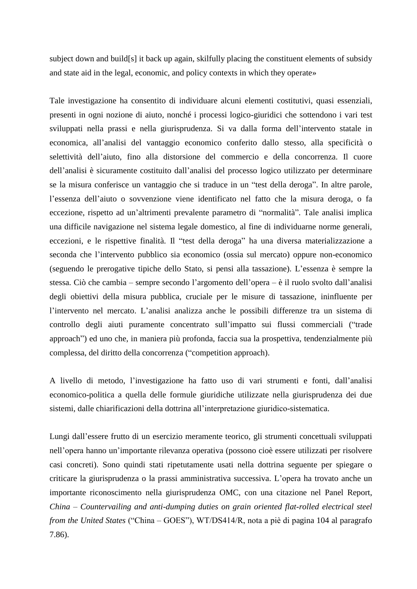subject down and build[s] it back up again, skilfully placing the constituent elements of subsidy and state aid in the legal, economic, and policy contexts in which they operate»

Tale investigazione ha consentito di individuare alcuni elementi costitutivi, quasi essenziali, presenti in ogni nozione di aiuto, nonché i processi logico-giuridici che sottendono i vari test sviluppati nella prassi e nella giurisprudenza. Si va dalla forma dell'intervento statale in economica, all'analisi del vantaggio economico conferito dallo stesso, alla specificità o selettività dell'aiuto, fino alla distorsione del commercio e della concorrenza. Il cuore dell'analisi è sicuramente costituito dall'analisi del processo logico utilizzato per determinare se la misura conferisce un vantaggio che si traduce in un "test della deroga". In altre parole, l'essenza dell'aiuto o sovvenzione viene identificato nel fatto che la misura deroga, o fa eccezione, rispetto ad un'altrimenti prevalente parametro di "normalità". Tale analisi implica una difficile navigazione nel sistema legale domestico, al fine di individuarne norme generali, eccezioni, e le rispettive finalità. Il "test della deroga" ha una diversa materializzazione a seconda che l'intervento pubblico sia economico (ossia sul mercato) oppure non-economico (seguendo le prerogative tipiche dello Stato, si pensi alla tassazione). L'essenza è sempre la stessa. Ciò che cambia – sempre secondo l'argomento dell'opera – è il ruolo svolto dall'analisi degli obiettivi della misura pubblica, cruciale per le misure di tassazione, ininfluente per l'intervento nel mercato. L'analisi analizza anche le possibili differenze tra un sistema di controllo degli aiuti puramente concentrato sull'impatto sui flussi commerciali ("trade approach") ed uno che, in maniera più profonda, faccia sua la prospettiva, tendenzialmente più complessa, del diritto della concorrenza ("competition approach).

A livello di metodo, l'investigazione ha fatto uso di vari strumenti e fonti, dall'analisi economico-politica a quella delle formule giuridiche utilizzate nella giurisprudenza dei due sistemi, dalle chiarificazioni della dottrina all'interpretazione giuridico-sistematica.

Lungi dall'essere frutto di un esercizio meramente teorico, gli strumenti concettuali sviluppati nell'opera hanno un'importante rilevanza operativa (possono cioè essere utilizzati per risolvere casi concreti). Sono quindi stati ripetutamente usati nella dottrina seguente per spiegare o criticare la giurisprudenza o la prassi amministrativa successiva. L'opera ha trovato anche un importante riconoscimento nella giurisprudenza OMC, con una citazione nel Panel Report, *China – Countervailing and anti-dumping duties on grain oriented flat-rolled electrical steel from the United States* ("China – GOES"), WT/DS414/R, nota a piè di pagina 104 al paragrafo 7.86).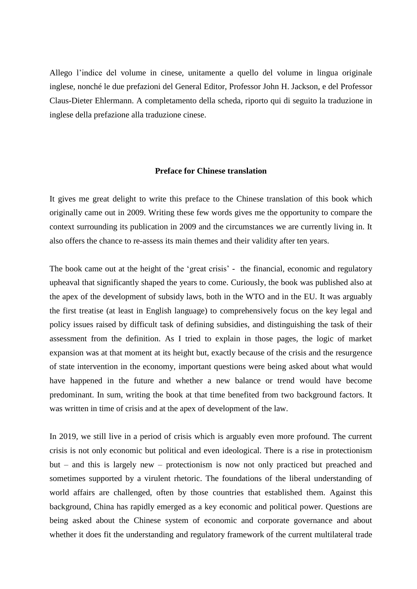Allego l'indice del volume in cinese, unitamente a quello del volume in lingua originale inglese, nonché le due prefazioni del General Editor, Professor John H. Jackson, e del Professor Claus-Dieter Ehlermann. A completamento della scheda, riporto qui di seguito la traduzione in inglese della prefazione alla traduzione cinese.

## **Preface for Chinese translation**

It gives me great delight to write this preface to the Chinese translation of this book which originally came out in 2009. Writing these few words gives me the opportunity to compare the context surrounding its publication in 2009 and the circumstances we are currently living in. It also offers the chance to re-assess its main themes and their validity after ten years.

The book came out at the height of the 'great crisis' - the financial, economic and regulatory upheaval that significantly shaped the years to come. Curiously, the book was published also at the apex of the development of subsidy laws, both in the WTO and in the EU. It was arguably the first treatise (at least in English language) to comprehensively focus on the key legal and policy issues raised by difficult task of defining subsidies, and distinguishing the task of their assessment from the definition. As I tried to explain in those pages, the logic of market expansion was at that moment at its height but, exactly because of the crisis and the resurgence of state intervention in the economy, important questions were being asked about what would have happened in the future and whether a new balance or trend would have become predominant. In sum, writing the book at that time benefited from two background factors. It was written in time of crisis and at the apex of development of the law.

In 2019, we still live in a period of crisis which is arguably even more profound. The current crisis is not only economic but political and even ideological. There is a rise in protectionism but – and this is largely new – protectionism is now not only practiced but preached and sometimes supported by a virulent rhetoric. The foundations of the liberal understanding of world affairs are challenged, often by those countries that established them. Against this background, China has rapidly emerged as a key economic and political power. Questions are being asked about the Chinese system of economic and corporate governance and about whether it does fit the understanding and regulatory framework of the current multilateral trade